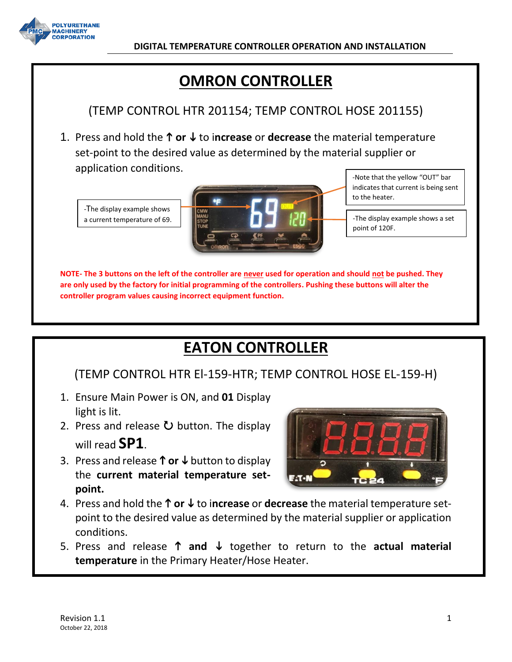

# **OMRON CONTROLLER**

## (TEMP CONTROL HTR 201154; TEMP CONTROL HOSE 201155)

1. Press and hold the  $\uparrow$  or  $\downarrow$  to increase or decrease the material temperature set-point to the desired value as determined by the material supplier or application conditions.

-The display example shows a current temperature of 69.



-Note that the yellow "OUT" bar indicates that current is being sent to the heater.

-The display example shows a set point of 120F.

**NOTE- The 3 buttons on the left of the controller are never used for operation and should not be pushed. They are only used by the factory for initial programming of the controllers. Pushing these buttons will alter the controller program values causing incorrect equipment function.**

# **EATON CONTROLLER**

## (TEMP CONTROL HTR El-159-HTR; TEMP CONTROL HOSE EL-159-H)

- 1. Ensure Main Power is ON, and **01** Display light is lit.
- 2. Press and release  $\bullet$  button. The display will read **SP1**.
- 3. Press and release  $\uparrow$  or  $\downarrow$  button to display the **current material temperature setpoint.**



- 4. Press and hold the **↑ or ↓** to increase or decrease the material temperature setpoint to the desired value as determined by the material supplier or application conditions.
- 5. Press and release  $\uparrow$  and  $\downarrow$  together to return to the actual material **temperature** in the Primary Heater/Hose Heater.